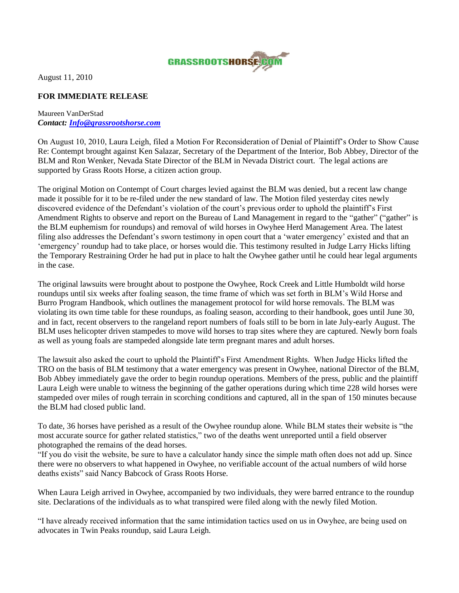

August 11, 2010

## **FOR IMMEDIATE RELEASE**

## Maureen VanDerStad *Contact: [Info@grassrootshorse.com](mailto:Info@grassrootshorse.com)*

On August 10, 2010, Laura Leigh, filed a Motion For Reconsideration of Denial of Plaintiff"s Order to Show Cause Re: Contempt brought against Ken Salazar, Secretary of the Department of the Interior, Bob Abbey, Director of the BLM and Ron Wenker, Nevada State Director of the BLM in Nevada District court. The legal actions are supported by Grass Roots Horse, a citizen action group.

The original Motion on Contempt of Court charges levied against the BLM was denied, but a recent law change made it possible for it to be re-filed under the new standard of law. The Motion filed yesterday cites newly discovered evidence of the Defendant"s violation of the court"s previous order to uphold the plaintiff"s First Amendment Rights to observe and report on the Bureau of Land Management in regard to the "gather" ("gather" is the BLM euphemism for roundups) and removal of wild horses in Owyhee Herd Management Area. The latest filing also addresses the Defendant's sworn testimony in open court that a 'water emergency' existed and that an 'emergency' roundup had to take place, or horses would die. This testimony resulted in Judge Larry Hicks lifting the Temporary Restraining Order he had put in place to halt the Owyhee gather until he could hear legal arguments in the case.

The original lawsuits were brought about to postpone the Owyhee, Rock Creek and Little Humboldt wild horse roundups until six weeks after foaling season, the time frame of which was set forth in BLM"s Wild Horse and Burro Program Handbook, which outlines the management protocol for wild horse removals. The BLM was violating its own time table for these roundups, as foaling season, according to their handbook, goes until June 30, and in fact, recent observers to the rangeland report numbers of foals still to be born in late July-early August. The BLM uses helicopter driven stampedes to move wild horses to trap sites where they are captured. Newly born foals as well as young foals are stampeded alongside late term pregnant mares and adult horses.

The lawsuit also asked the court to uphold the Plaintiff"s First Amendment Rights. When Judge Hicks lifted the TRO on the basis of BLM testimony that a water emergency was present in Owyhee, national Director of the BLM, Bob Abbey immediately gave the order to begin roundup operations. Members of the press, public and the plaintiff Laura Leigh were unable to witness the beginning of the gather operations during which time 228 wild horses were stampeded over miles of rough terrain in scorching conditions and captured, all in the span of 150 minutes because the BLM had closed public land.

To date, 36 horses have perished as a result of the Owyhee roundup alone. While BLM states their website is "the most accurate source for gather related statistics," two of the deaths went unreported until a field observer photographed the remains of the dead horses.

"If you do visit the website, be sure to have a calculator handy since the simple math often does not add up. Since there were no observers to what happened in Owyhee, no verifiable account of the actual numbers of wild horse deaths exists" said Nancy Babcock of Grass Roots Horse.

When Laura Leigh arrived in Owyhee, accompanied by two individuals, they were barred entrance to the roundup site. Declarations of the individuals as to what transpired were filed along with the newly filed Motion.

"I have already received information that the same intimidation tactics used on us in Owyhee, are being used on advocates in Twin Peaks roundup, said Laura Leigh.